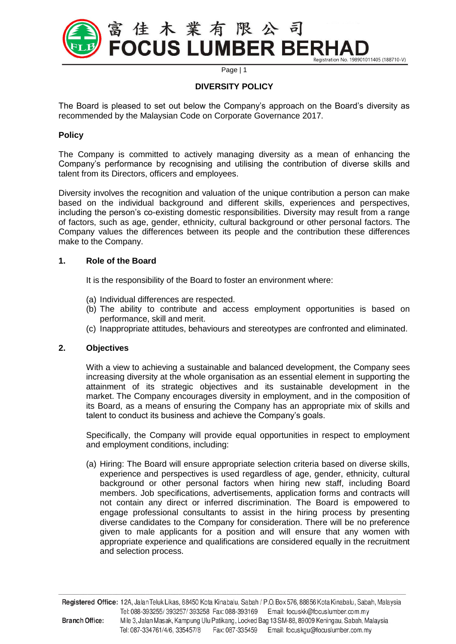

Page | 1

# **DIVERSITY POLICY**

The Board is pleased to set out below the Company's approach on the Board's diversity as recommended by the Malaysian Code on Corporate Governance 2017.

# **Policy**

The Company is committed to actively managing diversity as a mean of enhancing the Company's performance by recognising and utilising the contribution of diverse skills and talent from its Directors, officers and employees.

Diversity involves the recognition and valuation of the unique contribution a person can make based on the individual background and different skills, experiences and perspectives, including the person's co-existing domestic responsibilities. Diversity may result from a range of factors, such as age, gender, ethnicity, cultural background or other personal factors. The Company values the differences between its people and the contribution these differences make to the Company.

### **1. Role of the Board**

It is the responsibility of the Board to foster an environment where:

- (a) Individual differences are respected.
- (b) The ability to contribute and access employment opportunities is based on performance, skill and merit.
- (c) Inappropriate attitudes, behaviours and stereotypes are confronted and eliminated.

# **2. Objectives**

With a view to achieving a sustainable and balanced development, the Company sees increasing diversity at the whole organisation as an essential element in supporting the attainment of its strategic objectives and its sustainable development in the market. The Company encourages diversity in employment, and in the composition of its Board, as a means of ensuring the Company has an appropriate mix of skills and talent to conduct its business and achieve the Company's goals.

Specifically, the Company will provide equal opportunities in respect to employment and employment conditions, including:

(a) Hiring: The Board will ensure appropriate selection criteria based on diverse skills, experience and perspectives is used regardless of age, gender, ethnicity, cultural background or other personal factors when hiring new staff, including Board members. Job specifications, advertisements, application forms and contracts will not contain any direct or inferred discrimination. The Board is empowered to engage professional consultants to assist in the hiring process by presenting diverse candidates to the Company for consideration. There will be no preference given to male applicants for a position and will ensure that any women with appropriate experience and qualifications are considered equally in the recruitment and selection process.

Registered Office: 12A, Jalan Teluk Likas, 88450 Kota Kinabalu, Sabah / P.O. Box 576, 88856 Kota Kinabalu, Sabah, Malaysia Tel: 088-393255/393257/393258 Fax: 088-393169 Email: focuskk@focuslumber.com.my **Branch Office:** Mile 3, Jalan Masak, Kampung Ulu Patikang, Locked Bag 13 SM-88, 89009 Keningau, Sabah, Malaysia Tel: 087-334761/4/6, 335457/8 Fax: 087-335459 Email: focuskgu@focuslumber.com.my

**\_\_\_\_\_\_\_\_\_\_\_\_\_\_\_\_\_\_\_\_\_\_\_\_\_\_\_\_\_\_\_\_\_\_\_\_\_\_\_\_\_\_\_\_\_\_\_\_\_\_\_\_\_\_\_\_\_\_\_\_\_\_\_\_\_\_\_\_\_\_\_\_\_\_\_\_\_\_\_\_\_\_\_\_**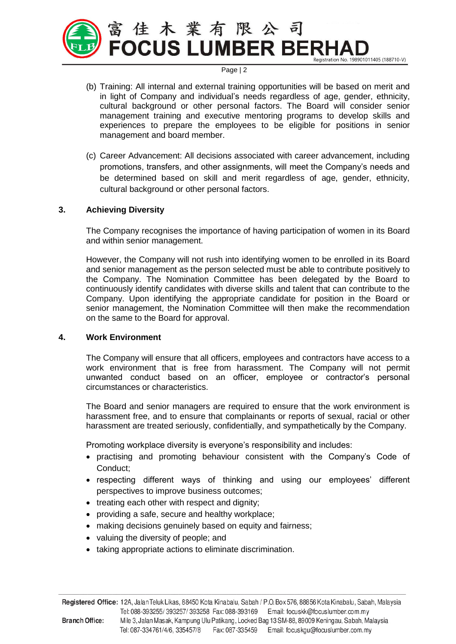

#### Page | 2

- (b) Training: All internal and external training opportunities will be based on merit and in light of Company and individual's needs regardless of age, gender, ethnicity, cultural background or other personal factors. The Board will consider senior management training and executive mentoring programs to develop skills and experiences to prepare the employees to be eligible for positions in senior management and board member.
- (c) Career Advancement: All decisions associated with career advancement, including promotions, transfers, and other assignments, will meet the Company's needs and be determined based on skill and merit regardless of age, gender, ethnicity, cultural background or other personal factors.

# **3. Achieving Diversity**

The Company recognises the importance of having participation of women in its Board and within senior management.

However, the Company will not rush into identifying women to be enrolled in its Board and senior management as the person selected must be able to contribute positively to the Company. The Nomination Committee has been delegated by the Board to continuously identify candidates with diverse skills and talent that can contribute to the Company. Upon identifying the appropriate candidate for position in the Board or senior management, the Nomination Committee will then make the recommendation on the same to the Board for approval.

#### **4. Work Environment**

The Company will ensure that all officers, employees and contractors have access to a work environment that is free from harassment. The Company will not permit unwanted conduct based on an officer, employee or contractor's personal circumstances or characteristics.

The Board and senior managers are required to ensure that the work environment is harassment free, and to ensure that complainants or reports of sexual, racial or other harassment are treated seriously, confidentially, and sympathetically by the Company.

Promoting workplace diversity is everyone's responsibility and includes:

- practising and promoting behaviour consistent with the Company's Code of Conduct;
- respecting different ways of thinking and using our employees' different perspectives to improve business outcomes;
- treating each other with respect and dignity;
- providing a safe, secure and healthy workplace;
- making decisions genuinely based on equity and fairness;
- valuing the diversity of people; and
- taking appropriate actions to eliminate discrimination.

**\_\_\_\_\_\_\_\_\_\_\_\_\_\_\_\_\_\_\_\_\_\_\_\_\_\_\_\_\_\_\_\_\_\_\_\_\_\_\_\_\_\_\_\_\_\_\_\_\_\_\_\_\_\_\_\_\_\_\_\_\_\_\_\_\_\_\_\_\_\_\_\_\_\_\_\_\_\_\_\_\_\_\_\_**